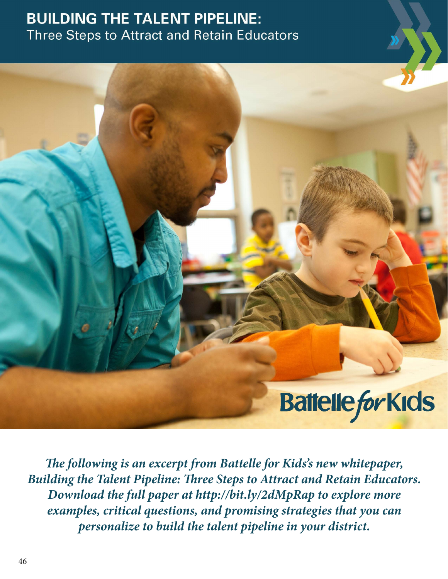# **BUILDING THE TALENT PIPELINE: Three Steps to Attract and Retain Educators**



*The following is an excerpt from Battelle for Kids's new whitepaper, Building the Talent Pipeline: Three Steps to Attract and Retain Educators. Download the full paper at http://bit.ly/2dMpRap to explore more examples, critical questions, and promising strategies that you can personalize to build the talent pipeline in your district.*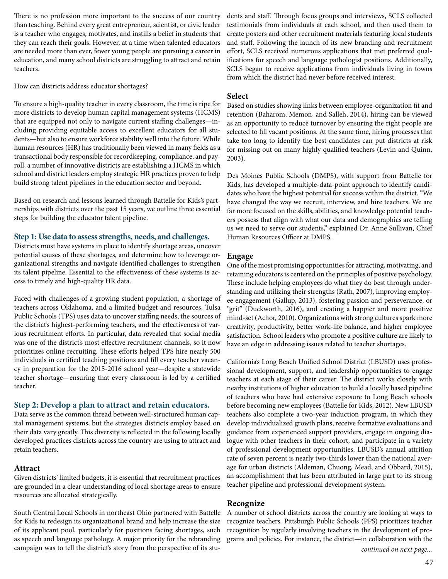There is no profession more important to the success of our country than teaching. Behind every great entrepreneur, scientist, or civic leader is a teacher who engages, motivates, and instills a belief in students that they can reach their goals. However, at a time when talented educators are needed more than ever, fewer young people are pursuing a career in education, and many school districts are struggling to attract and retain teachers.

How can districts address educator shortages?

To ensure a high-quality teacher in every classroom, the time is ripe for more districts to develop human capital management systems (HCMS) that are equipped not only to navigate current staffing challenges—including providing equitable access to excellent educators for all students—but also to ensure workforce stability well into the future. While human resources (HR) has traditionally been viewed in many fields as a transactional body responsible for recordkeeping, compliance, and payroll, a number of innovative districts are establishing a HCMS in which school and district leaders employ strategic HR practices proven to help build strong talent pipelines in the education sector and beyond.

Based on research and lessons learned through Battelle for Kids's partnerships with districts over the past 15 years, we outline three essential steps for building the educator talent pipeline.

#### **Step 1: Use data to assess strengths, needs, and challenges.**

Districts must have systems in place to identify shortage areas, uncover potential causes of these shortages, and determine how to leverage organizational strengths and navigate identified challenges to strengthen its talent pipeline. Essential to the effectiveness of these systems is access to timely and high-quality HR data.

Faced with challenges of a growing student population, a shortage of teachers across Oklahoma, and a limited budget and resources, Tulsa Public Schools (TPS) uses data to uncover staffing needs, the sources of the district's highest-performing teachers, and the effectiveness of various recruitment efforts. In particular, data revealed that social media was one of the district's most effective recruitment channels, so it now prioritizes online recruiting. These efforts helped TPS hire nearly 500 individuals in certified teaching positions and fill every teacher vacancy in preparation for the 2015-2016 school year—despite a statewide teacher shortage—ensuring that every classroom is led by a certified teacher.

#### **Step 2: Develop a plan to attract and retain educators.**

Data serve as the common thread between well-structured human capital management systems, but the strategies districts employ based on their data vary greatly. This diversity is reflected in the following locally developed practices districts across the country are using to attract and retain teachers.

#### **Attract**

Given districts' limited budgets, it is essential that recruitment practices are grounded in a clear understanding of local shortage areas to ensure resources are allocated strategically.

South Central Local Schools in northeast Ohio partnered with Battelle for Kids to redesign its organizational brand and help increase the size of its applicant pool, particularly for positions facing shortages, such as speech and language pathology. A major priority for the rebranding campaign was to tell the district's story from the perspective of its stu-

dents and staff. Through focus groups and interviews, SCLS collected testimonials from individuals at each school, and then used them to create posters and other recruitment materials featuring local students and staff. Following the launch of its new branding and recruitment effort, SCLS received numerous applications that met preferred qualifications for speech and language pathologist positions. Additionally, SCLS began to receive applications from individuals living in towns from which the district had never before received interest.

#### **Select**

Based on studies showing links between employee-organization fit and retention (Baharom, Memon, and Salleh, 2014), hiring can be viewed as an opportunity to reduce turnover by ensuring the right people are selected to fill vacant positions. At the same time, hiring processes that take too long to identify the best candidates can put districts at risk for missing out on many highly qualified teachers (Levin and Quinn, 2003).

Des Moines Public Schools (DMPS), with support from Battelle for Kids, has developed a multiple-data-point approach to identify candidates who have the highest potential for success within the district. "We have changed the way we recruit, interview, and hire teachers. We are far more focused on the skills, abilities, and knowledge potential teachers possess that align with what our data and demographics are telling us we need to serve our students," explained Dr. Anne Sullivan, Chief Human Resources Officer at DMPS.

#### **Engage**

One of the most promising opportunities for attracting, motivating, and retaining educators is centered on the principles of positive psychology. These include helping employees do what they do best through understanding and utilizing their strengths (Rath, 2007), improving employee engagement (Gallup, 2013), fostering passion and perseverance, or "grit" (Duckworth, 2016), and creating a happier and more positive mind-set (Achor, 2010). Organizations with strong cultures spark more creativity, productivity, better work-life balance, and higher employee satisfaction. School leaders who promote a positive culture are likely to have an edge in addressing issues related to teacher shortages.

California's Long Beach Unified School District (LBUSD) uses professional development, support, and leadership opportunities to engage teachers at each stage of their career. The district works closely with nearby institutions of higher education to build a locally based pipeline of teachers who have had extensive exposure to Long Beach schools before becoming new employees (Battelle for Kids, 2012). New LBUSD teachers also complete a two-year induction program, in which they develop individualized growth plans, receive formative evaluations and guidance from experienced support providers, engage in ongoing dialogue with other teachers in their cohort, and participate in a variety of professional development opportunities. LBUSD's annual attrition rate of seven percent is nearly two-thirds lower than the national average for urban districts (Aldeman, Chuong, Mead, and Obbard, 2015), an accomplishment that has been attributed in large part to its strong teacher pipeline and professional development system.

#### **Recognize**

A number of school districts across the country are looking at ways to recognize teachers. Pittsburgh Public Schools (PPS) prioritizes teacher recognition by regularly involving teachers in the development of programs and policies. For instance, the district—in collaboration with the